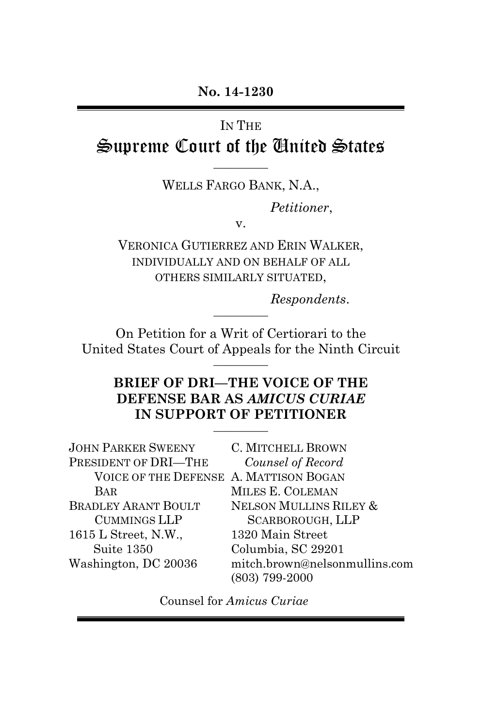# IN THE Supreme Court of the United States

\_\_\_\_\_\_\_\_\_\_ WELLS FARGO BANK, N.A.,

*Petitioner*,

v.

VERONICA GUTIERREZ AND ERIN WALKER, INDIVIDUALLY AND ON BEHALF OF ALL OTHERS SIMILARLY SITUATED,

*Respondents*. \_\_\_\_\_\_\_\_\_\_

On Petition for a Writ of Certiorari to the United States Court of Appeals for the Ninth Circuit  $\overline{\phantom{a}}$ 

### **BRIEF OF DRI—THE VOICE OF THE DEFENSE BAR AS** *AMICUS CURIAE*  **IN SUPPORT OF PETITIONER**

| C. MITCHELL BROWN                      |
|----------------------------------------|
| Counsel of Record                      |
| VOICE OF THE DEFENSE A. MATTISON BOGAN |
| MILES E. COLEMAN                       |
| NELSON MULLINS RILEY &                 |
| <b>SCARBOROUGH, LLP</b>                |
| 1320 Main Street                       |
| Columbia, SC 29201                     |
| mitch.brown@nelsonmullins.com          |
| (803) 799-2000                         |
|                                        |

Counsel for *Amicus Curiae*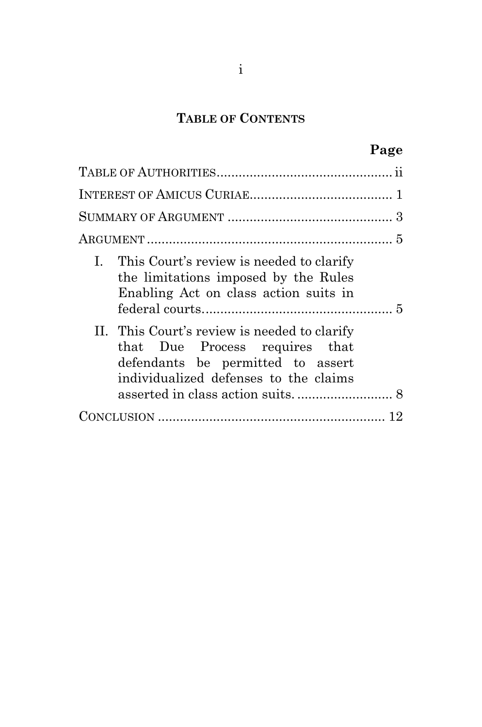## **TABLE OF CONTENTS**

|                                                                                                                                                              | Page |
|--------------------------------------------------------------------------------------------------------------------------------------------------------------|------|
|                                                                                                                                                              |      |
|                                                                                                                                                              |      |
|                                                                                                                                                              |      |
|                                                                                                                                                              |      |
| I. This Court's review is needed to clarify<br>the limitations imposed by the Rules<br>Enabling Act on class action suits in                                 |      |
| II. This Court's review is needed to clarify<br>that Due Process requires that<br>defendants be permitted to assert<br>individualized defenses to the claims |      |
|                                                                                                                                                              |      |
|                                                                                                                                                              |      |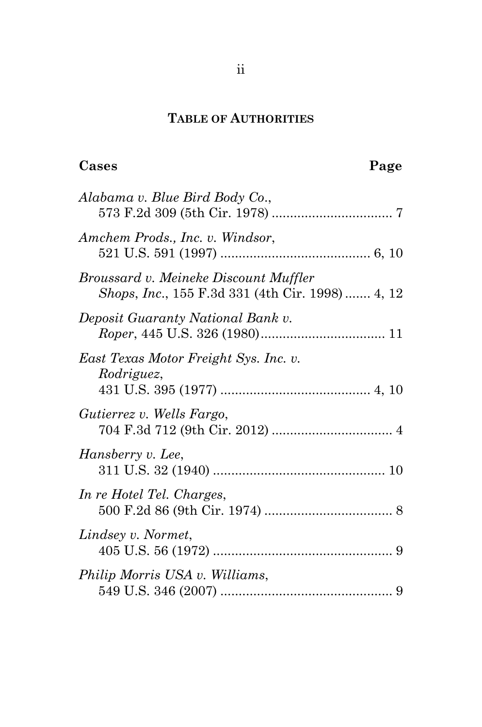## <span id="page-2-0"></span>**TABLE OF AUTHORITIES**

| Alabama v. Blue Bird Body Co.,                                                                   |
|--------------------------------------------------------------------------------------------------|
| Amchem Prods., Inc. v. Windsor,                                                                  |
| Broussard v. Meineke Discount Muffler<br><i>Shops, Inc.,</i> 155 F.3d 331 (4th Cir. 1998)  4, 12 |
| Deposit Guaranty National Bank v.                                                                |
| East Texas Motor Freight Sys. Inc. v.<br>Rodriguez,                                              |
| Gutierrez v. Wells Fargo,                                                                        |
| Hansberry v. Lee,                                                                                |
| In re Hotel Tel. Charges,                                                                        |
| Lindsey v. Normet,                                                                               |
| Philip Morris USA v. Williams,                                                                   |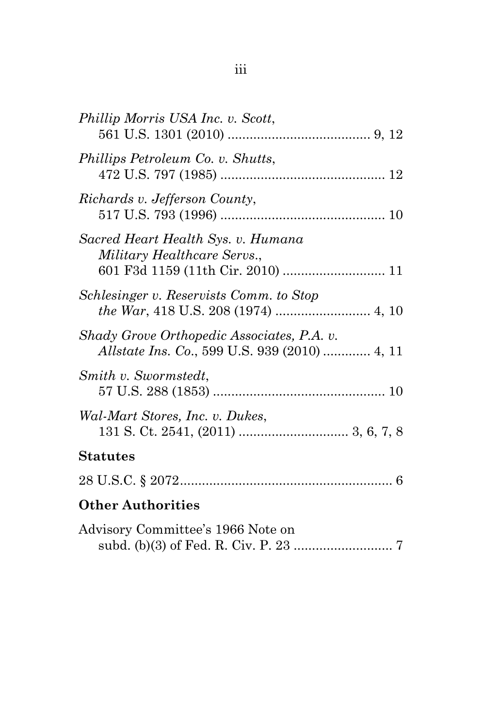| Phillip Morris USA Inc. v. Scott,                                                                  |
|----------------------------------------------------------------------------------------------------|
| Phillips Petroleum Co. v. Shutts,                                                                  |
| Richards v. Jefferson County,                                                                      |
| Sacred Heart Health Sys. v. Humana<br>Military Healthcare Servs.,                                  |
| Schlesinger v. Reservists Comm. to Stop                                                            |
| Shady Grove Orthopedic Associates, P.A. v.<br><i>Allstate Ins. Co., 599 U.S. 939 (2010) </i> 4, 11 |
| Smith v. Swormstedt,                                                                               |
| Wal-Mart Stores, Inc. v. Dukes,                                                                    |
| <b>Statutes</b>                                                                                    |
|                                                                                                    |
| <b>Other Authorities</b>                                                                           |
| Advisory Committee's 1966 Note on                                                                  |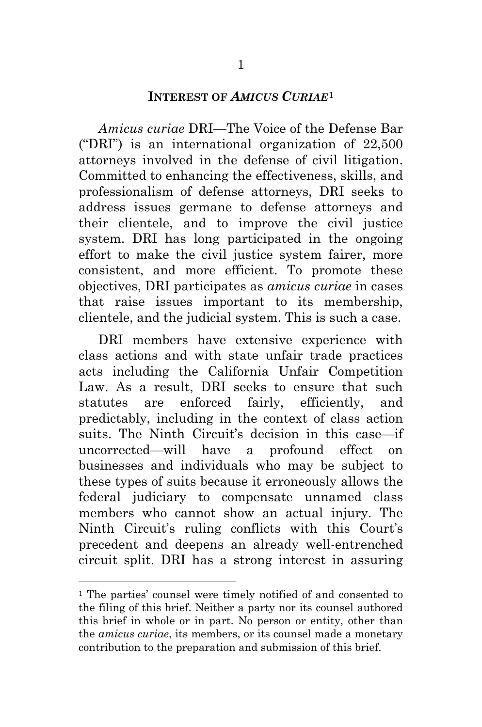### <span id="page-4-0"></span>**INTEREST OF** *AMICUS CURIAE***[1](#page-4-1)**

*Amicus curiae* DRI—The Voice of the Defense Bar ("DRI") is an international organization of 22,500 attorneys involved in the defense of civil litigation. Committed to enhancing the effectiveness, skills, and professionalism of defense attorneys, DRI seeks to address issues germane to defense attorneys and their clientele, and to improve the civil justice system. DRI has long participated in the ongoing effort to make the civil justice system fairer, more consistent, and more efficient. To promote these objectives, DRI participates as *amicus curiae* in cases that raise issues important to its membership, clientele, and the judicial system. This is such a case.

DRI members have extensive experience with class actions and with state unfair trade practices acts including the California Unfair Competition Law. As a result, DRI seeks to ensure that such statutes are enforced fairly, efficiently, and predictably, including in the context of class action suits. The Ninth Circuit's decision in this case—if uncorrected—will have a profound effect on businesses and individuals who may be subject to these types of suits because it erroneously allows the federal judiciary to compensate unnamed class members who cannot show an actual injury. The Ninth Circuit's ruling conflicts with this Court's precedent and deepens an already well-entrenched circuit split. DRI has a strong interest in assuring

<span id="page-4-1"></span> <sup>1</sup> The parties' counsel were timely notified of and consented to the filing of this brief. Neither a party nor its counsel authored this brief in whole or in part. No person or entity, other than the *amicus curiae*, its members, or its counsel made a monetary contribution to the preparation and submission of this brief.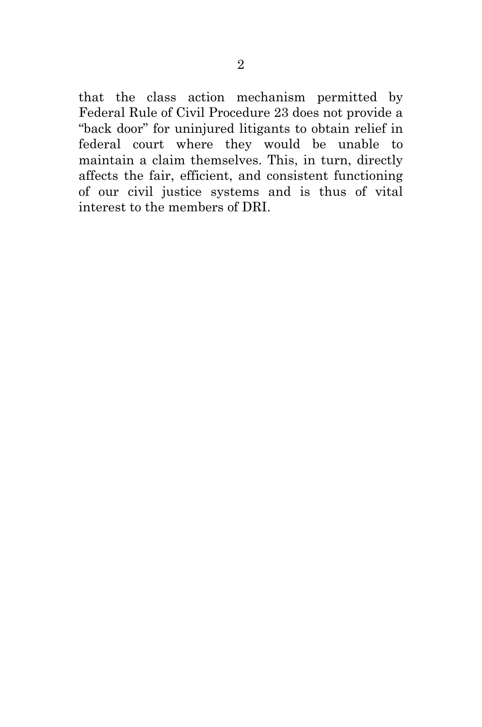that the class action mechanism permitted by Federal Rule of Civil Procedure 23 does not provide a "back door" for uninjured litigants to obtain relief in federal court where they would be unable to maintain a claim themselves. This, in turn, directly affects the fair, efficient, and consistent functioning of our civil justice systems and is thus of vital interest to the members of DRI.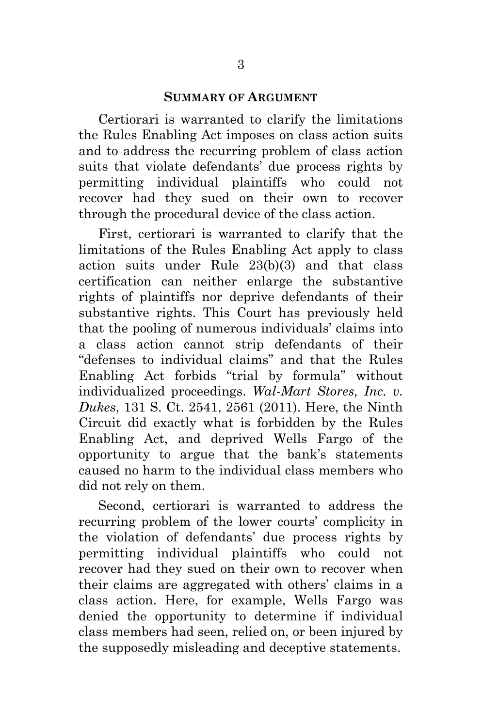#### <span id="page-6-0"></span>**SUMMARY OF ARGUMENT**

Certiorari is warranted to clarify the limitations the Rules Enabling Act imposes on class action suits and to address the recurring problem of class action suits that violate defendants' due process rights by permitting individual plaintiffs who could not recover had they sued on their own to recover through the procedural device of the class action.

First, certiorari is warranted to clarify that the limitations of the Rules Enabling Act apply to class action suits under Rule 23(b)(3) and that class certification can neither enlarge the substantive rights of plaintiffs nor deprive defendants of their substantive rights. This Court has previously held that the pooling of numerous individuals' claims into a class action cannot strip defendants of their "defenses to individual claims" and that the Rules Enabling Act forbids "trial by formula" without individualized proceedings. *Wal-Mart Stores, Inc. v. Dukes*, 131 S. Ct. 2541, 2561 (2011). Here, the Ninth Circuit did exactly what is forbidden by the Rules Enabling Act, and deprived Wells Fargo of the opportunity to argue that the bank's statements caused no harm to the individual class members who did not rely on them.

<span id="page-6-1"></span>Second, certiorari is warranted to address the recurring problem of the lower courts' complicity in the violation of defendants' due process rights by permitting individual plaintiffs who could not recover had they sued on their own to recover when their claims are aggregated with others' claims in a class action. Here, for example, Wells Fargo was denied the opportunity to determine if individual class members had seen, relied on, or been injured by the supposedly misleading and deceptive statements.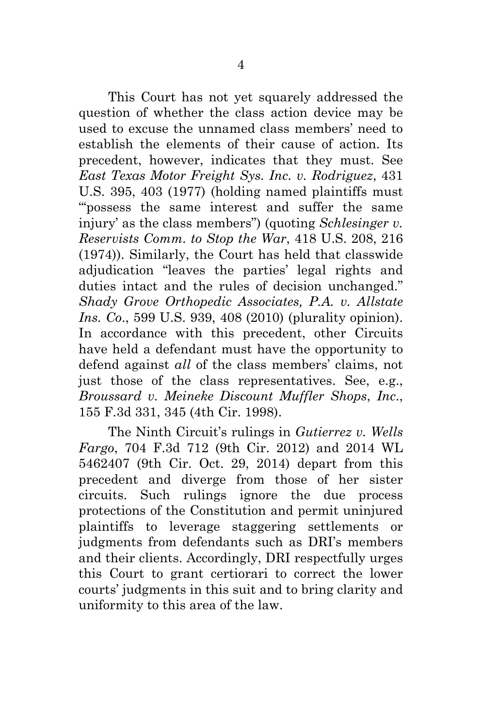<span id="page-7-3"></span><span id="page-7-1"></span>This Court has not yet squarely addressed the question of whether the class action device may be used to excuse the unnamed class members' need to establish the elements of their cause of action. Its precedent, however, indicates that they must. See *East Texas Motor Freight Sys. Inc. v. Rodriguez*, 431 U.S. 395, 403 (1977) (holding named plaintiffs must "'possess the same interest and suffer the same injury' as the class members") (quoting *Schlesinger v. Reservists Comm. to Stop the War*, 418 U.S. 208, 216 (1974)). Similarly, the Court has held that classwide adjudication "leaves the parties' legal rights and duties intact and the rules of decision unchanged." *Shady Grove Orthopedic Associates, P.A. v. Allstate Ins. Co*., 599 U.S. 939, 408 (2010) (plurality opinion). In accordance with this precedent, other Circuits have held a defendant must have the opportunity to defend against *all* of the class members' claims, not just those of the class representatives. See, e.g., *Broussard v. Meineke Discount Muffler Shops*, *Inc*., 155 F.3d 331, 345 (4th Cir. 1998).

<span id="page-7-4"></span><span id="page-7-2"></span><span id="page-7-0"></span>The Ninth Circuit's rulings in *Gutierrez v. Wells Fargo*, 704 F.3d 712 (9th Cir. 2012) and 2014 WL 5462407 (9th Cir. Oct. 29, 2014) depart from this precedent and diverge from those of her sister circuits. Such rulings ignore the due process protections of the Constitution and permit uninjured plaintiffs to leverage staggering settlements or judgments from defendants such as DRI's members and their clients. Accordingly, DRI respectfully urges this Court to grant certiorari to correct the lower courts' judgments in this suit and to bring clarity and uniformity to this area of the law.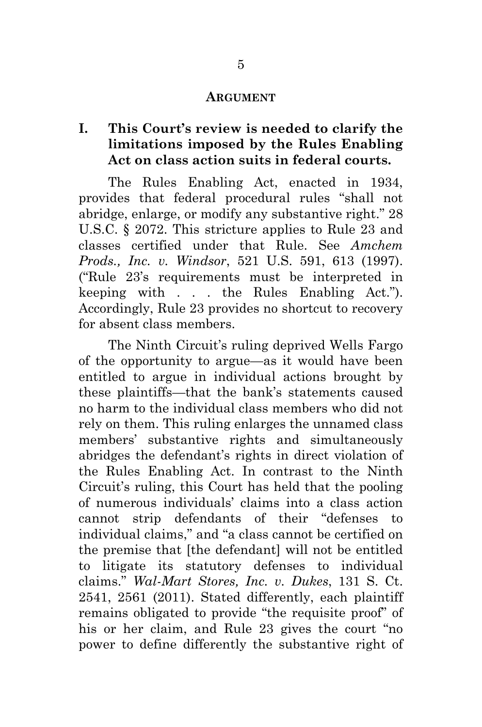#### <span id="page-8-4"></span><span id="page-8-2"></span><span id="page-8-1"></span><span id="page-8-0"></span>**ARGUMENT**

## **I. This Court's review is needed to clarify the limitations imposed by the Rules Enabling Act on class action suits in federal courts.**

The Rules Enabling Act, enacted in 1934, provides that federal procedural rules "shall not abridge, enlarge, or modify any substantive right." 28 U.S.C. § 2072. This stricture applies to Rule 23 and classes certified under that Rule. See *Amchem Prods., Inc. v. Windsor*, 521 U.S. 591, 613 (1997). ("Rule 23's requirements must be interpreted in keeping with . . . the Rules Enabling Act."). Accordingly, Rule 23 provides no shortcut to recovery for absent class members.

<span id="page-8-3"></span>The Ninth Circuit's ruling deprived Wells Fargo of the opportunity to argue—as it would have been entitled to argue in individual actions brought by these plaintiffs—that the bank's statements caused no harm to the individual class members who did not rely on them. This ruling enlarges the unnamed class members' substantive rights and simultaneously abridges the defendant's rights in direct violation of the Rules Enabling Act. In contrast to the Ninth Circuit's ruling, this Court has held that the pooling of numerous individuals' claims into a class action cannot strip defendants of their "defenses to individual claims," and "a class cannot be certified on the premise that [the defendant] will not be entitled to litigate its statutory defenses to individual claims." *Wal-Mart Stores, Inc. v. Dukes*, 131 S. Ct. 2541, 2561 (2011). Stated differently, each plaintiff remains obligated to provide "the requisite proof" of his or her claim, and Rule 23 gives the court "no power to define differently the substantive right of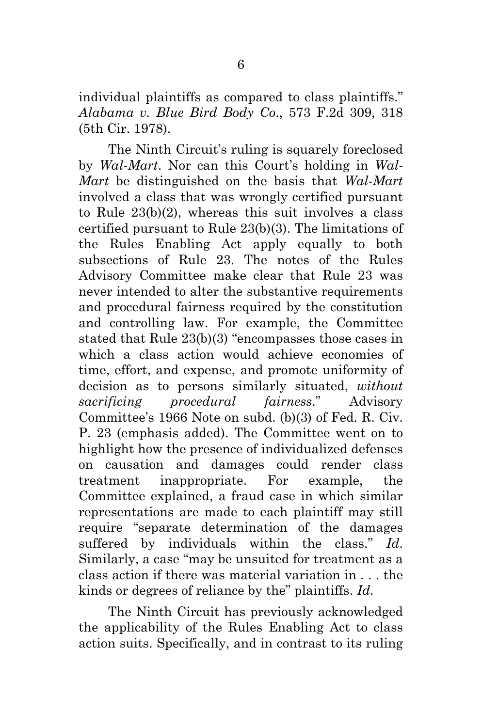<span id="page-9-0"></span>individual plaintiffs as compared to class plaintiffs." *Alabama v. Blue Bird Body Co*., 573 F.2d 309, 318 (5th Cir. 1978).

<span id="page-9-1"></span>The Ninth Circuit's ruling is squarely foreclosed by *Wal-Mart*. Nor can this Court's holding in *Wal-Mart* be distinguished on the basis that *Wal-Mart* involved a class that was wrongly certified pursuant to Rule 23(b)(2), whereas this suit involves a class certified pursuant to Rule 23(b)(3). The limitations of the Rules Enabling Act apply equally to both subsections of Rule 23. The notes of the Rules Advisory Committee make clear that Rule 23 was never intended to alter the substantive requirements and procedural fairness required by the constitution and controlling law. For example, the Committee stated that Rule 23(b)(3) "encompasses those cases in which a class action would achieve economies of time, effort, and expense, and promote uniformity of decision as to persons similarly situated, *without sacrificing procedural fairness*." Advisory Committee's 1966 Note on subd. (b)(3) of Fed. R. Civ. P. 23 (emphasis added). The Committee went on to highlight how the presence of individualized defenses on causation and damages could render class treatment inappropriate. For example, the Committee explained, a fraud case in which similar representations are made to each plaintiff may still require "separate determination of the damages suffered by individuals within the class." *Id*. Similarly, a case "may be unsuited for treatment as a class action if there was material variation in . . . the kinds or degrees of reliance by the" plaintiffs. *Id*.

<span id="page-9-2"></span>The Ninth Circuit has previously acknowledged the applicability of the Rules Enabling Act to class action suits. Specifically, and in contrast to its ruling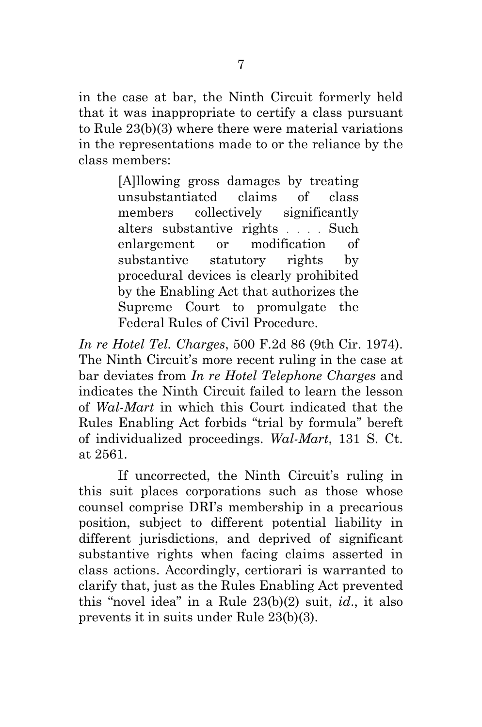in the case at bar, the Ninth Circuit formerly held that it was inappropriate to certify a class pursuant to Rule 23(b)(3) where there were material variations in the representations made to or the reliance by the class members:

> [A]llowing gross damages by treating unsubstantiated claims of class members collectively significantly alters substantive rights . . . . Such enlargement or modification of substantive statutory rights by procedural devices is clearly prohibited by the Enabling Act that authorizes the Supreme Court to promulgate the Federal Rules of Civil Procedure.

<span id="page-10-1"></span><span id="page-10-0"></span>*In re Hotel Tel. Charges*, 500 F.2d 86 (9th Cir. 1974). The Ninth Circuit's more recent ruling in the case at bar deviates from *In re Hotel Telephone Charges* and indicates the Ninth Circuit failed to learn the lesson of *Wal-Mart* in which this Court indicated that the Rules Enabling Act forbids "trial by formula" bereft of individualized proceedings. *Wal-Mart*, 131 S. Ct. at 2561.

If uncorrected, the Ninth Circuit's ruling in this suit places corporations such as those whose counsel comprise DRI's membership in a precarious position, subject to different potential liability in different jurisdictions, and deprived of significant substantive rights when facing claims asserted in class actions. Accordingly, certiorari is warranted to clarify that, just as the Rules Enabling Act prevented this "novel idea" in a Rule 23(b)(2) suit, *id*., it also prevents it in suits under Rule 23(b)(3).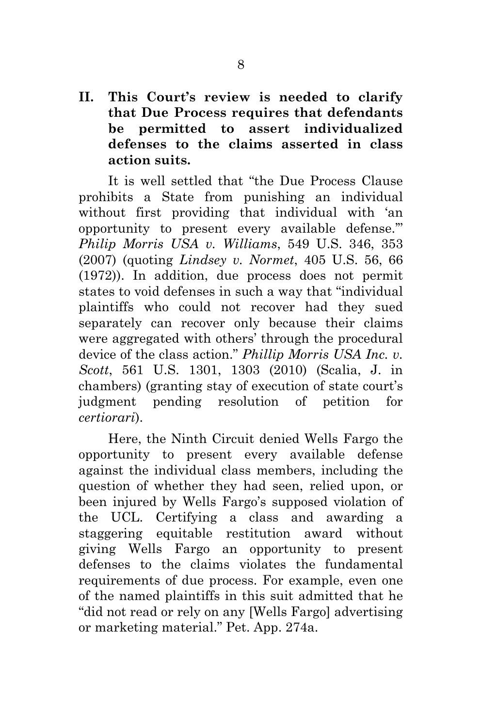**II. This Court's review is needed to clarify that Due Process requires that defendants be permitted to assert individualized defenses to the claims asserted in class action suits.**

<span id="page-11-2"></span><span id="page-11-1"></span><span id="page-11-0"></span>It is well settled that "the Due Process Clause prohibits a State from punishing an individual without first providing that individual with 'an opportunity to present every available defense.'" *Philip Morris USA v. Williams*, 549 U.S. 346, 353 (2007) (quoting *Lindsey v. Normet*, 405 U.S. 56, 66 (1972)). In addition, due process does not permit states to void defenses in such a way that "individual plaintiffs who could not recover had they sued separately can recover only because their claims were aggregated with others' through the procedural device of the class action." *Phillip Morris USA Inc. v. Scott*, 561 U.S. 1301, 1303 (2010) (Scalia, J. in chambers) (granting stay of execution of state court's judgment pending resolution of petition for *certiorari*).

<span id="page-11-3"></span>Here, the Ninth Circuit denied Wells Fargo the opportunity to present every available defense against the individual class members, including the question of whether they had seen, relied upon, or been injured by Wells Fargo's supposed violation of the UCL. Certifying a class and awarding a staggering equitable restitution award without giving Wells Fargo an opportunity to present defenses to the claims violates the fundamental requirements of due process. For example, even one of the named plaintiffs in this suit admitted that he "did not read or rely on any [Wells Fargo] advertising or marketing material." Pet. App. 274a.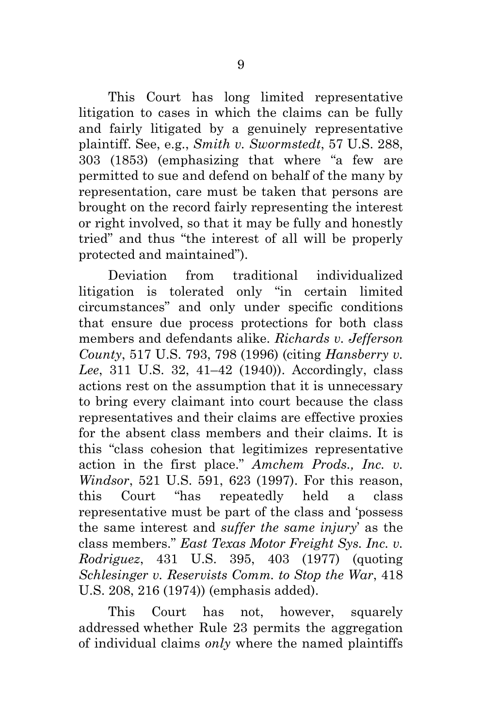<span id="page-12-5"></span>This Court has long limited representative litigation to cases in which the claims can be fully and fairly litigated by a genuinely representative plaintiff. See, e.g., *Smith v. Swormstedt*, 57 U.S. 288, 303 (1853) (emphasizing that where "a few are permitted to sue and defend on behalf of the many by representation, care must be taken that persons are brought on the record fairly representing the interest or right involved, so that it may be fully and honestly tried" and thus "the interest of all will be properly protected and maintained").

<span id="page-12-3"></span><span id="page-12-2"></span>Deviation from traditional individualized litigation is tolerated only "in certain limited circumstances" and only under specific conditions that ensure due process protections for both class members and defendants alike. *Richards v. Jefferson County*, 517 U.S. 793, 798 (1996) (citing *Hansberry v. Lee*, 311 U.S. 32, 41–42 (1940)). Accordingly, class actions rest on the assumption that it is unnecessary to bring every claimant into court because the class representatives and their claims are effective proxies for the absent class members and their claims. It is this "class cohesion that legitimizes representative action in the first place." *Amchem Prods., Inc. v. Windsor*, 521 U.S. 591, 623 (1997). For this reason, this Court "has repeatedly held a class representative must be part of the class and 'possess the same interest and *suffer the same injury*' as the class members." *East Texas Motor Freight Sys. Inc. v. Rodriguez*, 431 U.S. 395, 403 (1977) (quoting *Schlesinger v. Reservists Comm. to Stop the War*, 418 U.S. 208, 216 (1974)) (emphasis added).

<span id="page-12-4"></span><span id="page-12-1"></span><span id="page-12-0"></span>This Court has not, however, squarely addressed whether Rule 23 permits the aggregation of individual claims *only* where the named plaintiffs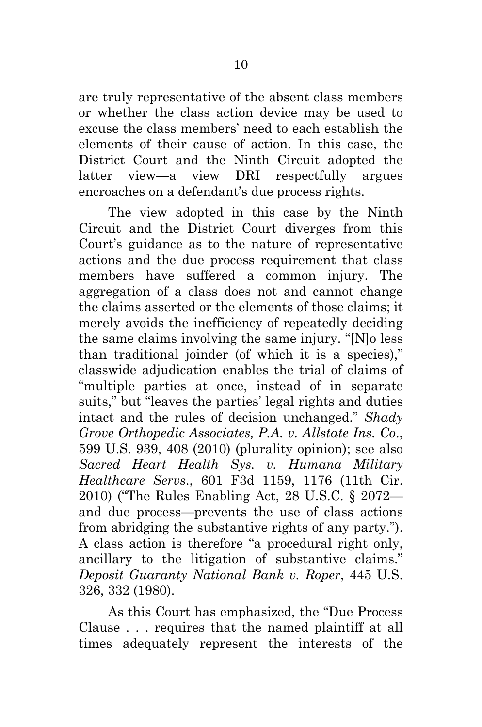are truly representative of the absent class members or whether the class action device may be used to excuse the class members' need to each establish the elements of their cause of action. In this case, the District Court and the Ninth Circuit adopted the latter view—a view DRI respectfully argues encroaches on a defendant's due process rights.

The view adopted in this case by the Ninth Circuit and the District Court diverges from this Court's guidance as to the nature of representative actions and the due process requirement that class members have suffered a common injury. The aggregation of a class does not and cannot change the claims asserted or the elements of those claims; it merely avoids the inefficiency of repeatedly deciding the same claims involving the same injury. "[N]o less than traditional joinder (of which it is a species)," classwide adjudication enables the trial of claims of "multiple parties at once, instead of in separate suits," but "leaves the parties' legal rights and duties intact and the rules of decision unchanged." *Shady Grove Orthopedic Associates, P.A. v. Allstate Ins. Co*., 599 U.S. 939, 408 (2010) (plurality opinion); see also *Sacred Heart Health Sys. v. Humana Military Healthcare Servs*., 601 F3d 1159, 1176 (11th Cir. 2010) ("The Rules Enabling Act, 28 U.S.C. § 2072 and due process—prevents the use of class actions from abridging the substantive rights of any party."). A class action is therefore "a procedural right only, ancillary to the litigation of substantive claims." *Deposit Guaranty National Bank v. Roper*, 445 U.S. 326, 332 (1980).

<span id="page-13-2"></span><span id="page-13-1"></span><span id="page-13-0"></span>As this Court has emphasized, the "Due Process Clause . . . requires that the named plaintiff at all times adequately represent the interests of the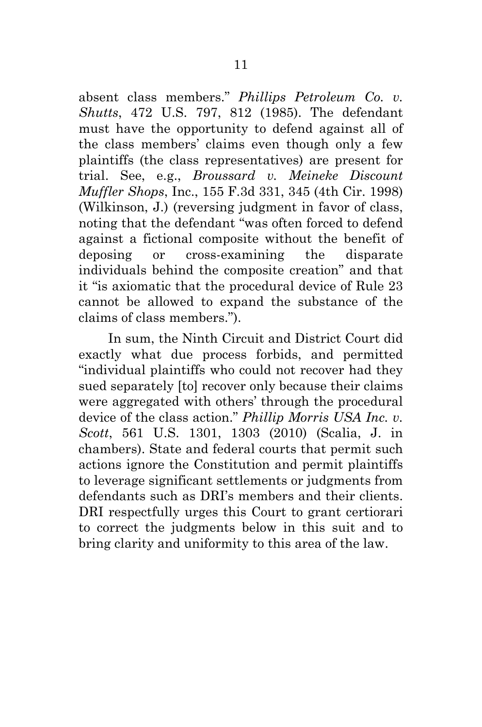<span id="page-14-2"></span><span id="page-14-0"></span>absent class members." *Phillips Petroleum Co. v. Shutts*, 472 U.S. 797, 812 (1985). The defendant must have the opportunity to defend against all of the class members' claims even though only a few plaintiffs (the class representatives) are present for trial. See, e.g., *Broussard v. Meineke Discount Muffler Shops*, Inc., 155 F.3d 331, 345 (4th Cir. 1998) (Wilkinson, J.) (reversing judgment in favor of class, noting that the defendant "was often forced to defend against a fictional composite without the benefit of deposing or cross-examining the disparate individuals behind the composite creation" and that it "is axiomatic that the procedural device of Rule 23 cannot be allowed to expand the substance of the claims of class members.").

<span id="page-14-1"></span>In sum, the Ninth Circuit and District Court did exactly what due process forbids, and permitted "individual plaintiffs who could not recover had they sued separately [to] recover only because their claims were aggregated with others' through the procedural device of the class action." *Phillip Morris USA Inc. v. Scott*, 561 U.S. 1301, 1303 (2010) (Scalia, J. in chambers). State and federal courts that permit such actions ignore the Constitution and permit plaintiffs to leverage significant settlements or judgments from defendants such as DRI's members and their clients. DRI respectfully urges this Court to grant certiorari to correct the judgments below in this suit and to bring clarity and uniformity to this area of the law.